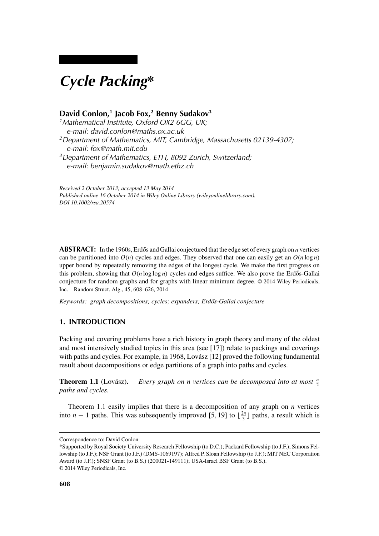*Cycle Packing\**

# **David Conlon,1 Jacob Fox,2 Benny Sudakov3**

*1Mathematical Institute, Oxford OX2 6GG, UK; e-mail: david.conlon@maths.ox.ac.uk 2Department of Mathematics, MIT, Cambridge, Massachusetts 02139-4307; e-mail: fox@math.mit.edu 3Department of Mathematics, ETH, 8092 Zurich, Switzerland;*

*e-mail: benjamin.sudakov@math.ethz.ch*

*Received 2 October 2013; accepted 13 May 2014 Published online 16 October 2014 in Wiley Online Library (wileyonlinelibrary.com). DOI 10.1002/rsa.20574*

**ABSTRACT:** In the 1960s, Erdős and Gallai conjectured that the edge set of every graph on *n* vertices can be partitioned into  $O(n)$  cycles and edges. They observed that one can easily get an  $O(n \log n)$ upper bound by repeatedly removing the edges of the longest cycle. We make the first progress on this problem, showing that  $O(n \log \log n)$  cycles and edges suffice. We also prove the Erdős-Gallai conjecture for random graphs and for graphs with linear minimum degree. © 2014 Wiley Periodicals, Inc. Random Struct. Alg., 45, 608–626, 2014

*Keywords: graph decompositions; cycles; expanders; Erdős-Gallai conjecture* 

# **1. INTRODUCTION**

Packing and covering problems have a rich history in graph theory and many of the oldest and most intensively studied topics in this area (see [17]) relate to packings and coverings with paths and cycles. For example, in 1968, Lovász [12] proved the following fundamental result about decompositions or edge partitions of a graph into paths and cycles.

**Theorem 1.1** (Lovász). Every graph on n vertices can be decomposed into at most  $\frac{n}{2}$ *paths and cycles.*

Theorem 1.1 easily implies that there is a decomposition of any graph on *n* vertices into *n* − 1 paths. This was subsequently improved [5, 19] to  $\lfloor \frac{2n}{3} \rfloor$  paths, a result which is

Correspondence to: David Conlon

<sup>\*</sup>Supported by Royal Society University Research Fellowship (to D.C.); Packard Fellowship (to J.F.); Simons Fellowship (to J.F.); NSF Grant (to J.F.) (DMS-1069197); Alfred P. Sloan Fellowship (to J.F.); MIT NEC Corporation Award (to J.F.); SNSF Grant (to B.S.) (200021-149111); USA-Israel BSF Grant (to B.S.). © 2014 Wiley Periodicals, Inc.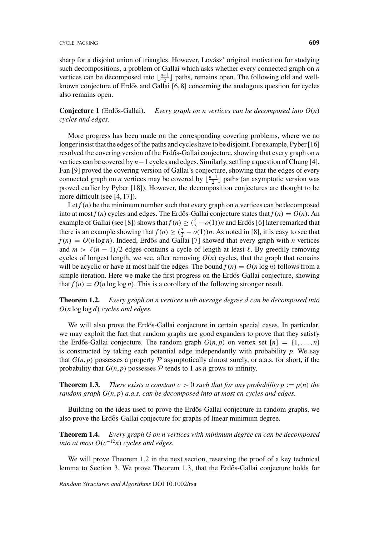sharp for a disjoint union of triangles. However, Lovász' original motivation for studying such decompositions, a problem of Gallai which asks whether every connected graph on *n* vertices can be decomposed into  $\lfloor \frac{n+1}{2} \rfloor$  paths, remains open. The following old and wellknown conjecture of Erdős and Gallai  $[6, 8]$  concerning the analogous question for cycles also remains open.

**Conjecture 1** (Erdős-Gallai). Every graph on n vertices can be decomposed into  $O(n)$ *cycles and edges.*

More progress has been made on the corresponding covering problems, where we no longer insist that the edges of the paths and cycles have to be disjoint. For example, Pyber [16] resolved the covering version of the Erdős-Gallai conjecture, showing that every graph on *n* vertices can be covered by *n*−1 cycles and edges. Similarly, settling a question of Chung [4], Fan [9] proved the covering version of Gallai's conjecture, showing that the edges of every connected graph on *n* vertices may be covered by  $\lfloor \frac{n+1}{2} \rfloor$  paths (an asymptotic version was proved earlier by Pyber [18]). However, the decomposition conjectures are thought to be more difficult (see [4, 17]).

Let  $f(n)$  be the minimum number such that every graph on *n* vertices can be decomposed into at most  $f(n)$  cycles and edges. The Erdős-Gallai conjecture states that  $f(n) = O(n)$ . An example of Gallai (see [8]) shows that  $f(n) \geq (\frac{4}{3} - o(1))n$  and Erdős [6] later remarked that there is an example showing that  $f(n) \geq (\frac{3}{2} - o(1))n$ . As noted in [8], it is easy to see that  $f(n) = O(n \log n)$ . Indeed, Erdős and Gallai [7] showed that every graph with *n* vertices and  $m > \ell(n-1)/2$  edges contains a cycle of length at least  $\ell$ . By greedily removing cycles of longest length, we see, after removing  $O(n)$  cycles, that the graph that remains will be acyclic or have at most half the edges. The bound  $f(n) = O(n \log n)$  follows from a simple iteration. Here we make the first progress on the Erdős-Gallai conjecture, showing that  $f(n) = O(n \log \log n)$ . This is a corollary of the following stronger result.

**Theorem 1.2.** *Every graph on n vertices with average degree d can be decomposed into O(n* log log *d) cycles and edges.*

We will also prove the Erdős-Gallai conjecture in certain special cases. In particular, we may exploit the fact that random graphs are good expanders to prove that they satisfy the Erdős-Gallai conjecture. The random graph  $G(n, p)$  on vertex set  $[n] = \{1, \ldots, n\}$ is constructed by taking each potential edge independently with probability *p*. We say that  $G(n, p)$  possesses a property  $P$  asymptotically almost surely, or a.a.s. for short, if the probability that  $G(n, p)$  possesses  $P$  tends to 1 as *n* grows to infinity.

**Theorem 1.3.** *There exists a constant*  $c > 0$  *such that for any probability*  $p := p(n)$  *the random graph G(n*, *p) a.a.s. can be decomposed into at most cn cycles and edges.*

Building on the ideas used to prove the Erdős-Gallai conjecture in random graphs, we also prove the Erdős-Gallai conjecture for graphs of linear minimum degree.

**Theorem 1.4.** *Every graph G on n vertices with minimum degree cn can be decomposed into at most*  $O(c^{-12}n)$  *cycles and edges.* 

We will prove Theorem 1.2 in the next section, reserving the proof of a key technical lemma to Section 3. We prove Theorem 1.3, that the Erdős-Gallai conjecture holds for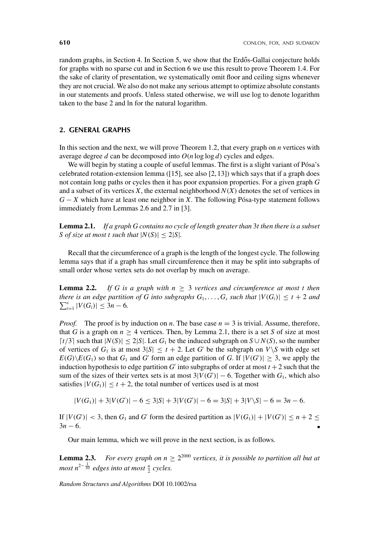random graphs, in Section 4. In Section 5, we show that the Erdős-Gallai conjecture holds for graphs with no sparse cut and in Section 6 we use this result to prove Theorem 1.4. For the sake of clarity of presentation, we systematically omit floor and ceiling signs whenever they are not crucial. We also do not make any serious attempt to optimize absolute constants in our statements and proofs. Unless stated otherwise, we will use log to denote logarithm taken to the base 2 and ln for the natural logarithm.

# **2. GENERAL GRAPHS**

In this section and the next, we will prove Theorem 1.2, that every graph on *n* vertices with average degree *d* can be decomposed into *O(n* log log *d)* cycles and edges.

We will begin by stating a couple of useful lemmas. The first is a slight variant of Pósa's celebrated rotation-extension lemma  $([15]$ , see also  $[2, 13]$ ) which says that if a graph does not contain long paths or cycles then it has poor expansion properties. For a given graph *G* and a subset of its vertices  $X$ , the external neighborhood  $N(X)$  denotes the set of vertices in *G* − *X* which have at least one neighbor in *X*. The following Pósa-type statement follows immediately from Lemmas 2.6 and 2.7 in [3].

**Lemma 2.1.** *If a graph G contains no cycle of length greater than* 3*t then there is a subset S* of size at most t such that  $|N(S)| \le 2|S|$ .

Recall that the circumference of a graph is the length of the longest cycle. The following lemma says that if a graph has small circumference then it may be split into subgraphs of small order whose vertex sets do not overlap by much on average.

**Lemma 2.2.** *If G is a graph with*  $n \geq 3$  *vertices and circumference at most t then there is an edge partition of G into subgraphs*  $G_1, \ldots, G_s$  *such that*  $|V(G_i)| \le t + 2$  *and*  $\sum_{i=1}^s |V(G_i)| \le 2\pi$  $\sum_{i=1}^{s} |V(G_i)| \leq 3n - 6.$ 

*Proof.* The proof is by induction on *n*. The base case  $n = 3$  is trivial. Assume, therefore, that *G* is a graph on  $n \geq 4$  vertices. Then, by Lemma 2.1, there is a set *S* of size at most *ft*/3 $\vert$  such that  $\vert N(S) \vert$  ≤ 2 $\vert S \vert$ . Let *G*<sub>1</sub> be the induced subgraph on *S* ∪ *N*(*S*), so the number of vertices of  $G_1$  is at most  $3|S| \le t + 2$ . Let G' be the subgraph on  $V \setminus S$  with edge set  $E(G)\E(G_1)$  so that  $G_1$  and  $G'$  form an edge partition of  $G$ . If  $|V(G')| \geq 3$ , we apply the induction hypothesis to edge partition *G*<sup> $\prime$ </sup> into subgraphs of order at most  $t + 2$  such that the sum of the sizes of their vertex sets is at most  $3|V(G')| - 6$ . Together with  $G_1$ , which also satisfies  $|V(G_1)| \leq t + 2$ , the total number of vertices used is at most

$$
|V(G_1)| + 3|V(G')| - 6 \le 3|S| + 3|V(G')| - 6 = 3|S| + 3|V\backslash S| - 6 = 3n - 6.
$$

If  $|V(G')| < 3$ , then  $G_1$  and  $G'$  form the desired partition as  $|V(G_1)| + |V(G')| \le n + 2 \le$  $3n - 6$ .

Our main lemma, which we will prove in the next section, is as follows.

**Lemma 2.3.** *For every graph on n*  $\geq 2^{2000}$  *vertices, it is possible to partition all but at most*  $n^{2-\frac{1}{10}}$  *edges into at most*  $\frac{n}{2}$  *cycles.*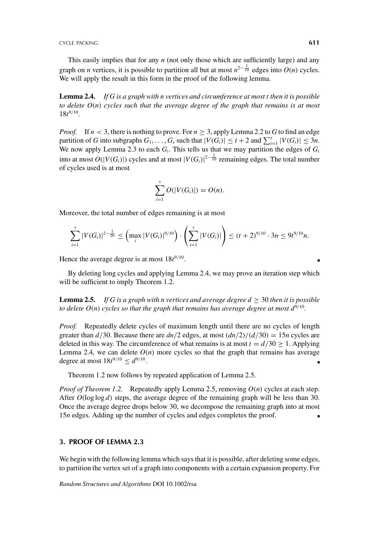CYCLE PACKING **611**

This easily implies that for any *n* (not only those which are sufficiently large) and any graph on *n* vertices, it is possible to partition all but at most  $n^{2-\frac{1}{10}}$  edges into  $O(n)$  cycles. We will apply the result in this form in the proof of the following lemma.

**Lemma 2.4.** *If G is a graph with n vertices and circumference at most t then it is possible to delete O(n) cycles such that the average degree of the graph that remains is at most*  $18t^{9/10}$ .

*Proof.* If  $n < 3$ , there is nothing to prove. For  $n > 3$ , apply Lemma 2.2 to G to find an edge partition of *G* into subgraphs  $G_1, \ldots, G_s$  such that  $|V(G_i)| \le t + 2$  and  $\sum_{i=1}^s |V(G_i)| \le 3n$ . We now apply Lemma 2.3 to each  $G_i$ . This tells us that we may partition the edges of  $G_i$ into at most  $O(|V(G_i)|)$  cycles and at most  $|V(G_i)|^{2-\frac{1}{10}}$  remaining edges. The total number of cycles used is at most

$$
\sum_{i=1}^s O(|V(G_i)|) = O(n).
$$

Moreover, the total number of edges remaining is at most

$$
\sum_{i=1}^s |V(G_i)|^{2-\frac{1}{10}} \le \left(\max_i |V(G_i)|^{9/10}\right) \cdot \left(\sum_{i=1}^s |V(G_i)|\right) \le (t+2)^{9/10} \cdot 3n \le 9t^{9/10}n.
$$

Hence the average degree is at most  $18t^{9/10}$ .

By deleting long cycles and applying Lemma 2.4, we may prove an iteration step which will be sufficient to imply Theorem 1.2.

**Lemma 2.5.** *If G is a graph with n vertices and average degree*  $d \geq 30$  *then it is possible to delete O(n) cycles so that the graph that remains has average degree at most*  $d^{9/10}$ *.* 

*Proof.* Repeatedly delete cycles of maximum length until there are no cycles of length greater than  $d/30$ . Because there are  $dn/2$  edges, at most  $(dn/2)/(d/30) = 15n$  cycles are deleted in this way. The circumference of what remains is at most  $t = d/30 \ge 1$ . Applying Lemma 2.4, we can delete  $O(n)$  more cycles so that the graph that remains has average degree at most  $18t^{9/10} \le d^{9/10}$ .

Theorem 1.2 now follows by repeated application of Lemma 2.5.

*Proof of Theorem 1.2.* Repeatedly apply Lemma 2.5, removing  $O(n)$  cycles at each step. After  $O(\log \log d)$  steps, the average degree of the remaining graph will be less than 30. Once the average degree drops below 30, we decompose the remaining graph into at most 15*n* edges. Adding up the number of cycles and edges completes the proof.

# **3. PROOF OF LEMMA 2.3**

We begin with the following lemma which says that it is possible, after deleting some edges, to partition the vertex set of a graph into components with a certain expansion property. For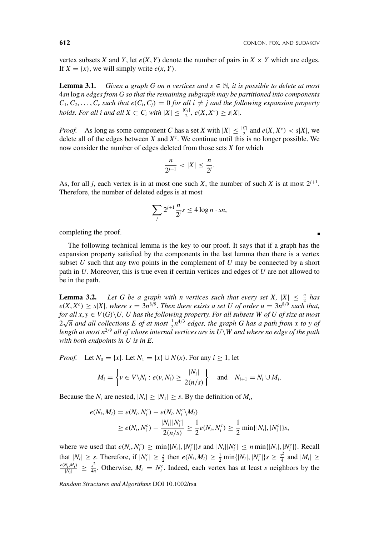×

vertex subsets *X* and *Y*, let  $e(X, Y)$  denote the number of pairs in  $X \times Y$  which are edges. If  $X = \{x\}$ , we will simply write  $e(x, Y)$ .

**Lemma 3.1.** *Given a graph G on n vertices and*  $s \in \mathbb{N}$ *, it is possible to delete at most* 4*sn* log *n edges from G so that the remaining subgraph may be partitioned into components*  $C_1, C_2, \ldots, C_r$  *such that*  $e(C_i, C_j) = 0$  *for all*  $i \neq j$  *and the following expansion property holds. For all i and all*  $X \subset C_i$  *with*  $|X| \leq \frac{|C_i|}{2}$ ,  $e(X, X^c) \geq s|X|$ .

*Proof.* As long as some component *C* has a set *X* with  $|X| \leq \frac{|C|}{2}$  and  $e(X, X^c) < s|X|$ , we delete all of the edges between  $X$  and  $X^c$ . We continue until this is no longer possible. We now consider the number of edges deleted from those sets *X* for which

$$
\frac{n}{2^{j+1}} < |X| \le \frac{n}{2^j}.
$$

As, for all *j*, each vertex is in at most one such *X*, the number of such *X* is at most  $2^{j+1}$ . Therefore, the number of deleted edges is at most

$$
\sum_j 2^{j+1} \frac{n}{2^j} s \le 4 \log n \cdot sn,
$$

completing the proof.

The following technical lemma is the key to our proof. It says that if a graph has the expansion property satisfied by the components in the last lemma then there is a vertex subset *U* such that any two points in the complement of *U* may be connected by a short path in *U*. Moreover, this is true even if certain vertices and edges of *U* are not allowed to be in the path.

**Lemma 3.2.** *Let G be a graph with n vertices such that every set X,*  $|X| \leq \frac{n}{2}$  *has*  $e(X, X^c) \ge s|X|$ , where  $s = 3n^{8/9}$ . Then there exists a set U of order  $u = 3n^{8/9}$  such that, *for all x, y*  $\in$  *V*(*G*) $\setminus$ *U, U has the following property. For all subsets W of U of size at most or an*  $x, y \in V(G) \setminus O$ ,  $O$  *nas me journing property. For an subsets w of*  $O$  *of size at most*  $2\sqrt{n}$  and all collections  $E$  of at most  $\frac{1}{2}n^{4/3}$  edges, the graph G has a path from x to y of *length at most n*<sup>2</sup>*/*<sup>9</sup> *all of whose internal vertices are in U*\*W and where no edge of the path with both endpoints in U is in E.*

*Proof.* Let  $N_0 = \{x\}$ . Let  $N_1 = \{x\} \cup N(x)$ . For any  $i \ge 1$ , let

$$
M_i = \left\{ v \in V \setminus N_i : e(v, N_i) \geq \frac{|N_i|}{2(n/s)} \right\} \quad \text{and} \quad N_{i+1} = N_i \cup M_i.
$$

Because the *N<sub>i</sub>* are nested,  $|N_i| > |N_1| > s$ . By the definition of *M<sub>i</sub>*,

$$
e(N_i, M_i) = e(N_i, N_i^c) - e(N_i, N_i^c \setminus M_i)
$$
  
\n
$$
\ge e(N_i, N_i^c) - \frac{|N_i||N_i^c|}{2(n/s)} \ge \frac{1}{2}e(N_i, N_i^c) \ge \frac{1}{2} \min\{|N_i|, |N_i^c|\} s,
$$

where we used that  $e(N_i, N_i^c) \ge \min\{|N_i|, |N_i^c|\}$ s and  $|N_i||N_i^c| \le n \min\{|N_i|, |N_i^c|\}$ . Recall that  $|N_i| \ge s$ . Therefore, if  $|N_i^c| \ge \frac{s}{2}$  then  $e(N_i, M_i) \ge \frac{1}{2} \min\{|N_i|, |N_i^c|\} s \ge \frac{s^2}{4}$  and  $|M_i| \ge$  $\frac{e(N_i,M_i)}{|N_i|} \geq \frac{s^2}{4n}$ . Otherwise,  $M_i = N_i^c$ . Indeed, each vertex has at least *s* neighbors by the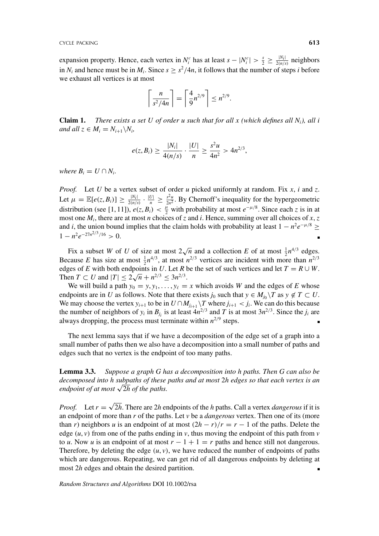expansion property. Hence, each vertex in  $N_i^c$  has at least  $s - |N_i^c| > \frac{s}{2} \ge \frac{|N_i|}{2(n/s)}$  neighbors in  $N_i$  and hence must be in  $M_i$ . Since  $s \geq s^2/4n$ , it follows that the number of steps *i* before we exhaust all vertices is at most

$$
\left\lceil \frac{n}{s^2/4n} \right\rceil = \left\lceil \frac{4}{9} n^{2/9} \right\rceil \le n^{2/9}.
$$

**Claim 1.** *There exists a set U of order u such that for all x (which defines all Ni), all i and all*  $z \in M_i = N_{i+1} \backslash N_i$ ,

$$
e(z, B_i) \ge \frac{|N_i|}{4(n/s)} \cdot \frac{|U|}{n} \ge \frac{s^2 u}{4n^2} > 4n^{2/3},
$$

*where*  $B_i = U \cap N_i$ .

*Proof.* Let *U* be a vertex subset of order *u* picked uniformly at random. Fix *x*, *i* and *z*. Let  $\mu = \mathbb{E}[e(z, B_i)] \ge \frac{|N_i|}{2(n/s)} \cdot \frac{|U|}{n} \ge \frac{s^2 u}{2n^2}$ . By Chernoff's inequality for the hypergeometric distribution (see [1, 11]),  $e(z, B_i) < \frac{\mu}{2}$  with probability at most  $e^{-\mu/8}$ . Since each *z* is in at most one *Mi*, there are at most *n* choices of *z* and *i*. Hence, summing over all choices of *x*, *z* and *i*, the union bound implies that the claim holds with probability at least  $1 - n^2 e^{-\mu/8}$  ≥  $1 - n^2 e^{-27n^2/3}$ /16 > 0.

Fix a subset *W* of *U* of size at most  $2\sqrt{n}$  and a collection *E* of at most  $\frac{1}{2}n^{4/3}$  edges. Because *E* has size at most  $\frac{1}{2}n^{4/3}$ , at most  $n^{2/3}$  vertices are incident with more than  $n^{2/3}$ edges of *E* with both endpoints in *U*. Let *R* be the set of such vertices and let  $T = R \cup W$ . Figure 5 or *E* with both endpoints in *U*. Let *K* then  $T \subset U$  and  $|T| \leq 2\sqrt{n} + n^{2/3} \leq 3n^{2/3}$ .

We will build a path  $y_0 = y, y_1, \ldots, y_\ell = x$  which avoids *W* and the edges of *E* whose endpoints are in *U* as follows. Note that there exists  $j_0$  such that  $y \in M_{j_0} \setminus T$  as  $y \notin T \subset U$ . We may choose the vertex  $y_{i+1}$  to be in  $U \cap M_{j_{i+1}} \setminus T$  where  $j_{i+1} < j_i$ . We can do this because the number of neighbors of  $y_i$  in  $B_{j_i}$  is at least  $4n^{2/3}$  and *T* is at most  $3n^{2/3}$ . Since the  $j_i$  are always dropping, the process must terminate within  $n^{2/9}$  steps.

The next lemma says that if we have a decomposition of the edge set of a graph into a small number of paths then we also have a decomposition into a small number of paths and edges such that no vertex is the endpoint of too many paths.

**Lemma 3.3.** *Suppose a graph G has a decomposition into h paths. Then G can also be decomposed into h subpaths of these paths and at most* 2*h edges so that each vertex is an endpoint of at most*  $\sqrt{2h}$  *of the paths.* 

*Proof.* Let  $r = \sqrt{2h}$ . There are 2*h* endpoints of the *h* paths. Call a vertex *dangerous* if it is an endpoint of more than *r* of the paths. Let *v* be a *dangerous* vertex. Then one of its (more than *r*) neighbors *u* is an endpoint of at most  $(2h - r)/r = r - 1$  of the paths. Delete the edge  $(u, v)$  from one of the paths ending in *v*, thus moving the endpoint of this path from *v* to *u*. Now *u* is an endpoint of at most  $r - 1 + 1 = r$  paths and hence still not dangerous. Therefore, by deleting the edge  $(u, v)$ , we have reduced the number of endpoints of paths which are dangerous. Repeating, we can get rid of all dangerous endpoints by deleting at most 2*h* edges and obtain the desired partition.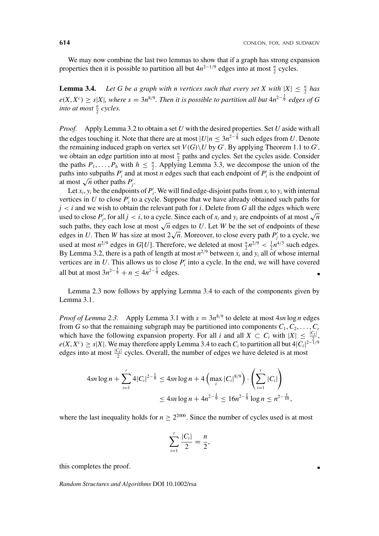We may now combine the last two lemmas to show that if a graph has strong expansion properties then it is possible to partition all but  $4n^{2-1/9}$  edges into at most  $\frac{n}{2}$  cycles.

**Lemma 3.4.** *Let G be a graph with n vertices such that every set X with*  $|X| \leq \frac{n}{2}$  has  $e(X, X^c) \ge s|X|$ , where  $s = 3n^{8/9}$ . Then it is possible to partition all but  $4n^{2-\frac{1}{9}}$  edges of G *into at most*  $\frac{n}{2}$  *cycles.* 

*Proof.* Apply Lemma 3.2 to obtain a set *U* with the desired properties. Set *U* aside with all the edges touching it. Note that there are at most  $|U|n \leq 3n^{2-\frac{1}{9}}$  such edges from *U*. Denote the remaining induced graph on vertex set  $V(G) \setminus U$  by  $G'$ . By applying Theorem 1.1 to  $G'$ , we obtain an edge partition into at most  $\frac{n}{2}$  paths and cycles. Set the cycles aside. Consider the paths  $P_1, \ldots, P_h$  with  $h \leq \frac{n}{2}$ . Applying Lemma 3.3, we decompose the union of the paths into subpaths  $P_i'$  and at most *n* edges such that each endpoint of  $P_i'$  is the endpoint of paths into subpaths  $P_i$  and at most  $\sqrt{n}$  other paths  $P'_j$ .

Let  $x_i$ ,  $y_i$  be the endpoints of  $P'_i$ . We will find edge-disjoint paths from  $x_i$  to  $y_i$  with internal vertices in  $U$  to close  $P_i'$  to a cycle. Suppose that we have already obtained such paths for  $j < i$  and we wish to obtain the relevant path for *i*. Delete from  $G$  all the edges which were  $y \leq i$  and we wish to obtain the relevant path for *i*. Define from G and the edges which were used to close  $P'_j$ , for all  $j < i$ , to a cycle. Since each of  $x_i$  and  $y_i$  are endpoints of at most  $\sqrt{n}$ such paths, they each lose at most  $\sqrt{n}$  edges to *U*. Let *W* be the set of endpoints of these such pains, they each lose at most  $\sqrt{n}$  edges to *U*. Let *W* be the set of endpoints of these edges in *U*. Then *W* has size at most  $2\sqrt{n}$ . Moreover, to close every path *P*<sup>*i*</sup> to a cycle, we used at most  $n^{2/9}$  edges in *G*[*U*]. Therefore, we deleted at most  $\frac{n}{2}n^{2/9} < \frac{1}{2}n^{4/3}$  such edges. By Lemma 3.2, there is a path of length at most  $n^{2/9}$  between  $x_i$  and  $y_i$  all of whose internal vertices are in  $U$ . This allows us to close  $P_i$  into a cycle. In the end, we will have covered all but at most  $3n^{2-\frac{1}{9}} + n \le 4n^{2-\frac{1}{9}}$  edges.

Lemma 2.3 now follows by applying Lemma 3.4 to each of the components given by Lemma 3.1.

*Proof of Lemma 2.3.* Apply Lemma 3.1 with  $s = 3n^{8/9}$  to delete at most  $4sn \log n$  edges from *G* so that the remaining subgraph may be partitioned into components  $C_1, C_2, \ldots, C_r$ which have the following expansion property. For all *i* and all  $X \subset C_i$  with  $|X| \leq \frac{|C_i|}{2}$ *e*(*X*, *X<sup>c</sup>*) ≥ *s*|*X*|. We may therefore apply Lemma 3.4 to each *C<sub>i</sub>* to partition all but 4|*C<sub>i</sub>*|<sup>2−1</sup>/<sup>9</sup> edges into at most  $\frac{|C_i|}{2}$  cycles. Overall, the number of edges we have deleted is at most

$$
4sn \log n + \sum_{i=1}^{r} 4|C_i|^{2-\frac{1}{9}} \le 4sn \log n + 4\left(\max_i |C_i|^{8/9}\right) \cdot \left(\sum_{i=1}^{r} |C_i|\right)
$$
  

$$
\le 4sn \log n + 4n^{2-\frac{1}{9}} \le 16n^{2-\frac{1}{9}} \log n \le n^{2-\frac{1}{10}},
$$

where the last inequality holds for  $n \geq 2^{2000}$ . Since the number of cycles used is at most

$$
\sum_{i=1}^r \frac{|C_i|}{2} = \frac{n}{2},
$$

this completes the proof.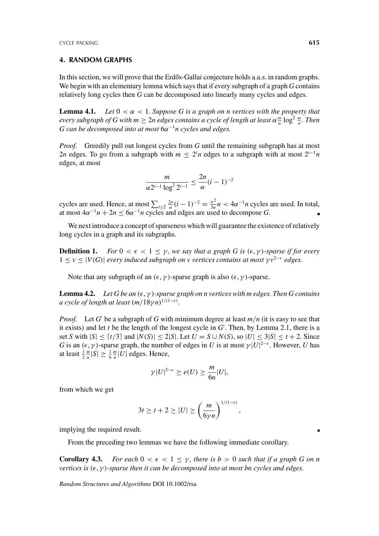# **4. RANDOM GRAPHS**

In this section, we will prove that the Erdős-Gallai conjecture holds a.a.s. in random graphs. We begin with an elementary lemma which says that if every subgraph of a graph *G* contains relatively long cycles then *G* can be decomposed into linearly many cycles and edges.

**Lemma 4.1.** *Let*  $0 < \alpha < 1$ *. Suppose G is a graph on n vertices with the property that every subgraph of G with*  $m \geq 2n$  *edges contains a cycle of length at least*  $\alpha \frac{m}{n} \log^2 \frac{m}{n}$ . Then *G can be decomposed into at most* 6*α*<sup>−</sup><sup>1</sup>*n cycles and edges.*

*Proof.* Greedily pull out longest cycles from G until the remaining subgraph has at most 2*n* edges. To go from a subgraph with  $m \leq 2^{i}n$  edges to a subgraph with at most  $2^{i-1}n$ edges, at most

$$
\frac{m}{\alpha 2^{i-1} \log^2 2^{i-1}} \le \frac{2n}{\alpha} (i-1)^{-2}
$$

cycles are used. Hence, at most  $\sum_{i\geq 2} \frac{2n}{\alpha} (i-1)^{-2} = \frac{\pi^2}{3\alpha} n < 4\alpha^{-1} n$  cycles are used. In total, at most  $4\alpha^{-1}n + 2n \leq 6\alpha^{-1}n$  cycles and edges are used to decompose *G*.

We next introduce a concept of sparseness which will guarantee the existence of relatively long cycles in a graph and its subgraphs.

**Definition 1.** *For*  $0 < \epsilon < 1 \leq \gamma$ , we say that a graph G is  $(\epsilon, \gamma)$ -sparse if for every  $1 \leq v \leq |V(G)|$  every induced subgraph on v vertices contains at most  $\gamma v^{2-\epsilon}$  edges.

Note that any subgraph of an  $(\epsilon, \gamma)$ -sparse graph is also  $(\epsilon, \gamma)$ -sparse.

**Lemma 4.2.** Let G be an  $(\epsilon, \gamma)$ -sparse graph on n vertices with m edges. Then G contains *a* cycle of length at least  $(m/18\gamma n)^{1/(1-\epsilon)}$ .

*Proof.* Let *G*' be a subgraph of *G* with minimum degree at least  $m/n$  (it is easy to see that it exists) and let  $t$  be the length of the longest cycle in  $G'$ . Then, by Lemma 2.1, there is a set *S* with  $|S| \leq [t/3]$  and  $|N(S)| \leq 2|S|$ . Let  $U = S \cup N(S)$ , so  $|U| \leq 3|S| \leq t + 2$ . Since *G* is an  $(\epsilon, \gamma)$ -sparse graph, the number of edges in *U* is at most  $\gamma |U|^{2-\epsilon}$ . However, *U* has at least  $\frac{1}{2} \frac{m}{n} |S| \ge \frac{1}{6} \frac{m}{n} |U|$  edges. Hence,

$$
\gamma |U|^{2-\epsilon} \ge e(U) \ge \frac{m}{6n}|U|,
$$

from which we get

$$
3t \ge t + 2 \ge |U| \ge \left(\frac{m}{6\gamma n}\right)^{1/(1-\epsilon)},
$$

implying the required result.

From the preceding two lemmas we have the following immediate corollary.

**Corollary 4.3.** *For each*  $0 \lt \epsilon \lt 1 \lt \gamma$ , there is  $b > 0$  such that if a graph G on n *vertices is*  $(\epsilon, \gamma)$ *-sparse then it can be decomposed into at most bn cycles and edges.*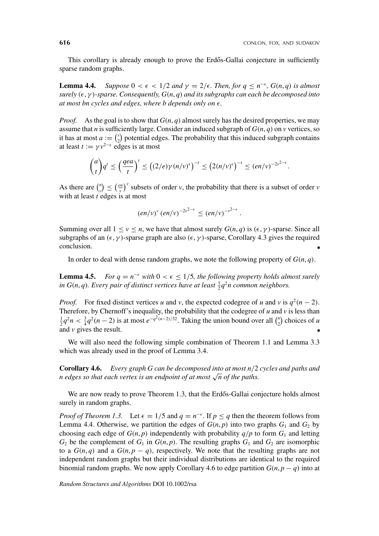.

This corollary is already enough to prove the Erdős-Gallai conjecture in sufficiently sparse random graphs.

**Lemma 4.4.** *Suppose*  $0 < \epsilon < 1/2$  *and*  $\gamma = 2/\epsilon$ *. Then, for*  $q \leq n^{-\epsilon}$ *,*  $G(n, q)$  *is almost surely*  $(\epsilon, \gamma)$ *-sparse. Consequently,*  $G(n, q)$  *and its subgraphs can each be decomposed into at most bn cycles and edges, where b depends only on*  $\epsilon$ .

*Proof.* As the goal is to show that  $G(n, q)$  almost surely has the desired properties, we may assume that *n* is sufficiently large. Consider an induced subgraph of  $G(n, q)$  on *v* vertices, so it has at most  $a := \binom{v}{0}$  potential edges. The probability that this induced subgraph contains at least  $t := \gamma v^{2-\epsilon}$  edges is at most

$$
\binom{a}{t}q^t \le \left(\frac{qea}{t}\right)^t \le \left((2/e)\gamma(n/v)^{\epsilon}\right)^{-t} \le \left(2(n/v)^{\epsilon}\right)^{-t} \le (en/v)^{-2v^{2-\epsilon}}
$$

As there are  $\binom{n}{v} \leq \left(\frac{en}{v}\right)^v$  subsets of order *v*, the probability that there is a subset of order *v* with at least *t* edges is at most

$$
(en/v)^{v}(en/v)^{-2v^{2-\epsilon}} \le (en/v)^{-v^{2-\epsilon}}.
$$

Summing over all  $1 \le v \le n$ , we have that almost surely  $G(n, q)$  is  $(\epsilon, \gamma)$ -sparse. Since all subgraphs of an  $(\epsilon, \gamma)$ -sparse graph are also  $(\epsilon, \gamma)$ -sparse, Corollary 4.3 gives the required conclusion.

In order to deal with dense random graphs, we note the following property of  $G(n, q)$ .

**Lemma 4.5.** *For*  $q = n^{-\epsilon}$  *with*  $0 \leq \epsilon \leq 1/5$ *, the following property holds almost surely* in  $G(n, q)$ . Every pair of distinct vertices have at least  $\frac{1}{2}q^2n$  common neighbors.

*Proof.* For fixed distinct vertices *u* and *v*, the expected codegree of *u* and *v* is  $q^2(n-2)$ . Therefore, by Chernoff's inequality, the probability that the codegree of  $u$  and  $v$  is less than  $\frac{1}{2}q^2n < \frac{3}{4}q^2(n-2)$  is at most  $e^{-q^2(n-2)/32}$ . Taking the union bound over all  $\binom{n}{2}$  choices of *u* and *v* gives the result.

We will also need the following simple combination of Theorem 1.1 and Lemma 3.3 which was already used in the proof of Lemma 3.4.

**Corollary 4.6.** *Every graph G can be decomposed into at most n/*2 *cycles and paths and n edges so that each vertex is an endpoint of at most*  $\sqrt{n}$  *of the paths.* 

We are now ready to prove Theorem 1.3, that the Erdős-Gallai conjecture holds almost surely in random graphs.

*Proof of Theorem 1.3.* Let  $\epsilon = 1/5$  and  $q = n^{-\epsilon}$ . If  $p < q$  then the theorem follows from Lemma 4.4. Otherwise, we partition the edges of  $G(n, p)$  into two graphs  $G_1$  and  $G_2$  by choosing each edge of  $G(n, p)$  independently with probability  $q/p$  to form  $G_1$  and letting  $G_2$  be the complement of  $G_1$  in  $G(n, p)$ . The resulting graphs  $G_1$  and  $G_2$  are isomorphic to a  $G(n, q)$  and a  $G(n, p - q)$ , respectively. We note that the resulting graphs are not independent random graphs but their individual distributions are identical to the required binomial random graphs. We now apply Corollary 4.6 to edge partition  $G(n, p - q)$  into at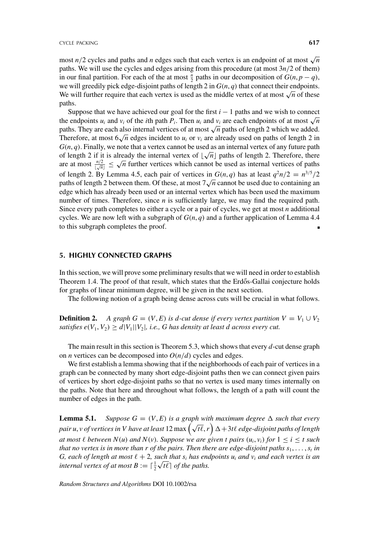most *n*/2 cycles and paths and *n* edges such that each vertex is an endpoint of at most  $\sqrt{n}$ paths. We will use the cycles and edges arising from this procedure (at most 3*n/*2 of them) in our final partition. For each of the at most  $\frac{n}{2}$  paths in our decomposition of  $G(n, p - q)$ , we will greedily pick edge-disjoint paths of length 2 in  $G(n, q)$  that connect their endpoints. We will further require that each vertex is used as the middle vertex of at most  $\sqrt{n}$  of these paths.

Suppose that we have achieved our goal for the first  $i - 1$  paths and we wish to connect the endpoints  $u_i$  and  $v_i$  of the *i*th path  $P_i$ . Then  $u_i$  and  $v_i$  are each endpoints of at most  $\sqrt{n}$ paths. They are each also internal vertices of at most  $\sqrt{n}$  paths of length 2 which we added. Therefore, at most  $6\sqrt{n}$  edges incident to  $u_i$  or  $v_i$  are already used on paths of length 2 in *G(n*, *q)*. Finally, we note that a vertex cannot be used as an internal vertex of any future path  $G(n, q)$ . Finally, we note that a vertex cannot be used as an internal vertex of any future path of length 2 if it is already the internal vertex of  $\lfloor \sqrt{n} \rfloor$  paths of length 2. Therefore, there or length 2 if it is already the internal vertex or  $\lfloor \sqrt{n} \rfloor$  paths or length 2. Therefore, there are at most  $\frac{n/2}{\lfloor \sqrt{n} \rfloor} \leq \sqrt{n}$  further vertices which cannot be used as internal vertices of paths of length 2. By Lemma 4.5, each pair of vertices in  $G(n, q)$  has at least  $q^2n/2 = n^{3/5}/2$ paths of length 2 between them. Of these, at most  $7\sqrt{n}$  cannot be used due to containing an edge which has already been used or an internal vertex which has been used the maximum number of times. Therefore, since *n* is sufficiently large, we may find the required path. Since every path completes to either a cycle or a pair of cycles, we get at most *n* additional cycles. We are now left with a subgraph of  $G(n, q)$  and a further application of Lemma 4.4 to this subgraph completes the proof.

#### **5. HIGHLY CONNECTED GRAPHS**

In this section, we will prove some preliminary results that we will need in order to establish Theorem 1.4. The proof of that result, which states that the Erdős-Gallai conjecture holds for graphs of linear minimum degree, will be given in the next section.

The following notion of a graph being dense across cuts will be crucial in what follows.

**Definition 2.** *A graph G* =  $(V, E)$  *is d-cut dense if every vertex partition*  $V = V_1 \cup V_2$ *satisfies*  $e(V_1, V_2) \geq d|V_1||V_2|$ , *i.e., G has density at least d across every cut.* 

The main result in this section is Theorem 5.3, which shows that every *d*-cut dense graph on *n* vertices can be decomposed into  $O(n/d)$  cycles and edges.

We first establish a lemma showing that if the neighborhoods of each pair of vertices in a graph can be connected by many short edge-disjoint paths then we can connect given pairs of vertices by short edge-disjoint paths so that no vertex is used many times internally on the paths. Note that here and throughout what follows, the length of a path will count the number of edges in the path.

**Lemma 5.1.** *Suppose*  $G = (V, E)$  *is a graph with maximum degree*  $\Delta$  *such that every pair u*, *v* of vertices in *V* have at least  $12 \max \left( \sqrt{t\ell}, r \right) \Delta + 3t\ell$  edge-disjoint paths of length pair u, *v* of vertices in *V* have at least  $12 \max \left( \sqrt{t\ell}, r \right) \Delta + 3t\ell$  edge-disjoint paths of length *at most*  $\ell$  *between*  $N(u)$  *and*  $N(v)$ *. Suppose we are given t pairs*  $(u_i, v_i)$  *for*  $1 \leq i \leq t$  *such that no vertex is in more than r of the pairs. Then there are edge-disjoint paths*  $s_1, \ldots, s_t$  *in G*, each of length at most  $\ell + 2$ , such that  $s_i$  has endpoints  $u_i$  and  $v_i$  and each vertex is an G, each of length at most  $l + 2$ , such that  $s_i$  has end<br>internal vertex of at most  $B := \lceil \frac{1}{2} \sqrt{t} \ell \rceil$  of the paths.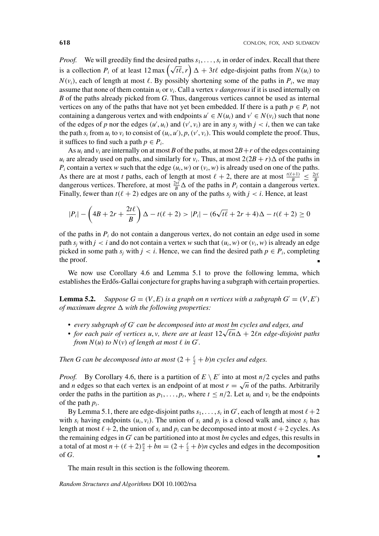*Proof.* We will greedily find the desired paths  $s_1, \ldots, s_t$  in order of index. Recall that there is a collection  $P_i$  of at least 12 max  $(\sqrt{t\ell}, r) \Delta + 3t\ell$  edge-disjoint paths from  $N(u_i)$  to  $N(v_i)$ , each of length at most  $\ell$ . By possibly shortening some of the paths in  $P_i$ , we may assume that none of them contain  $u_i$  or  $v_i$ . Call a vertex *v* dangerous if it is used internally on *B* of the paths already picked from *G*. Thus, dangerous vertices cannot be used as internal vertices on any of the paths that have not yet been embedded. If there is a path  $p \in P_i$  not containing a dangerous vertex and with endpoints  $u' \in N(u_i)$  and  $v' \in N(v_i)$  such that none of the edges of *p* nor the edges  $(u', u_i)$  and  $(v', v_i)$  are in any  $s_j$  with  $j < i$ , then we can take the path  $s_i$  from  $u_i$  to  $v_i$  to consist of  $(u_i, u'), p, (v', v_i)$ . This would complete the proof. Thus, it suffices to find such a path  $p \in P_i$ .

As  $u_i$  and  $v_i$  are internally on at most *B* of the paths, at most  $2B+r$  of the edges containing *u<sub>i</sub>* are already used on paths, and similarly for  $v_i$ . Thus, at most  $2(2B + r)\Delta$  of the paths in *P<sub>i</sub>* contain a vertex *w* such that the edge  $(u_i, w)$  or  $(v_i, w)$  is already used on one of the paths. As there are at most *t* paths, each of length at most  $\ell + 2$ , there are at most  $\frac{t(\ell+1)}{B} \leq \frac{2t\ell}{B}$ dangerous vertices. Therefore, at most  $\frac{2t\ell}{B}\Delta$  of the paths in  $P_i$  contain a dangerous vertex. Finally, fewer than  $t(\ell + 2)$  edges are on any of the paths  $s_j$  with  $j < i$ . Hence, at least

$$
|P_i| - \left(4B + 2r + \frac{2t\ell}{B}\right)\Delta - t(\ell+2) > |P_i| - (6\sqrt{t\ell} + 2r + 4)\Delta - t(\ell+2) \ge 0
$$

of the paths in  $P_i$  do not contain a dangerous vertex, do not contain an edge used in some path  $s_i$  with  $j < i$  and do not contain a vertex w such that  $(u_i, w)$  or  $(v_i, w)$  is already an edge picked in some path  $s_j$  with  $j < i$ . Hence, we can find the desired path  $p \in P_i$ , completing the proof.

We now use Corollary 4.6 and Lemma 5.1 to prove the following lemma, which establishes the Erdős-Gallai conjecture for graphs having a subgraph with certain properties.

**Lemma 5.2.** *Suppose*  $G = (V, E)$  *is a graph on n vertices with a subgraph*  $G' = (V, E')$ *of maximum degree*  $\Delta$  *with the following properties:* 

- *every subgraph of G can be decomposed into at most bn cycles and edges, and*
- *every subgraph of G* can be aecomposea into at most bn cycles ana eages, ana<br>• for each pair of vertices u, v, there are at least 12√*ln*∆ + 2ln edge-disjoint paths *from*  $N(u)$  *to*  $N(v)$  *of length at most*  $\ell$  *in*  $G'$ *.*

*Then G can be decomposed into at most*  $(2 + \frac{\ell}{2} + b)n$  cycles and edges.

*Proof.* By Corollary 4.6, there is a partition of  $E \setminus E'$  into at most  $n/2$  cycles and paths and *n* edges so that each vertex is an endpoint of at most  $r = \sqrt{n}$  of the paths. Arbitrarily order the paths in the partition as  $p_1, \ldots, p_t$ , where  $t \leq n/2$ . Let  $u_i$  and  $v_i$  be the endpoints of the path *pi*.

By Lemma 5.1, there are edge-disjoint paths  $s_1, \ldots, s_t$  in *G*<sup>'</sup>, each of length at most  $\ell + 2$ with  $s_i$  having endpoints  $(u_i, v_i)$ . The union of  $s_i$  and  $p_i$  is a closed walk and, since  $s_i$  has length at most  $\ell + 2$ , the union of  $s_i$  and  $p_i$  can be decomposed into at most  $\ell + 2$  cycles. As the remaining edges in *G* can be partitioned into at most *bn* cycles and edges, this results in a total of at most  $n + (\ell + 2)\frac{n}{2} + bn = (2 + \frac{\ell}{2} + b)n$  cycles and edges in the decomposition of *G*.

The main result in this section is the following theorem.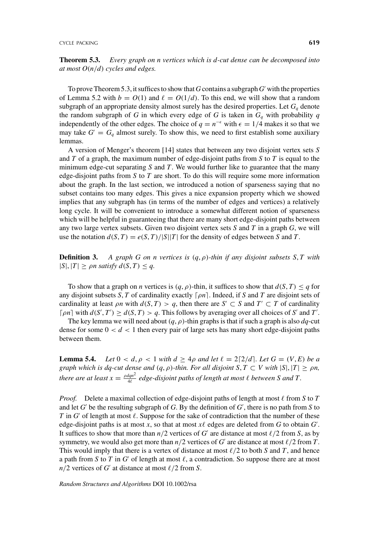**Theorem 5.3.** *Every graph on n vertices which is d-cut dense can be decomposed into at most O(n/d) cycles and edges.*

To prove Theorem 5.3, it suffices to show that *G* contains a subgraph  $G'$  with the properties of Lemma 5.2 with  $b = O(1)$  and  $\ell = O(1/d)$ . To this end, we will show that a random subgraph of an appropriate density almost surely has the desired properties. Let  $G_q$  denote the random subgraph of *G* in which every edge of *G* is taken in  $G_q$  with probability *q* independently of the other edges. The choice of  $q = n^{-\epsilon}$  with  $\epsilon = 1/4$  makes it so that we may take  $G' = G_q$  almost surely. To show this, we need to first establish some auxiliary lemmas.

A version of Menger's theorem [14] states that between any two disjoint vertex sets *S* and *T* of a graph, the maximum number of edge-disjoint paths from *S* to *T* is equal to the minimum edge-cut separating *S* and *T*. We would further like to guarantee that the many edge-disjoint paths from *S* to *T* are short. To do this will require some more information about the graph. In the last section, we introduced a notion of sparseness saying that no subset contains too many edges. This gives a nice expansion property which we showed implies that any subgraph has (in terms of the number of edges and vertices) a relatively long cycle. It will be convenient to introduce a somewhat different notion of sparseness which will be helpful in guaranteeing that there are many short edge-disjoint paths between any two large vertex subsets. Given two disjoint vertex sets *S* and *T* in a graph *G*, we will use the notation  $d(S, T) = e(S, T)/|S||T|$  for the density of edges between *S* and *T*.

**Definition 3.** *A graph G on n vertices is (q*, *ρ)-thin if any disjoint subsets S*, *T with*  $|S|, |T| \ge \rho n$  satisfy  $d(S, T) \le q$ .

To show that a graph on *n* vertices is  $(q, \rho)$ -thin, it suffices to show that  $d(S, T) \leq q$  for any disjoint subsets *S*, *T* of cardinality exactly *ρn*. Indeed, if *S* and *T* are disjoint sets of cardinality at least  $\rho n$  with  $d(S, T) > q$ , then there are  $S' \subset S$  and  $T' \subset T$  of cardinality  $\lceil \rho n \rceil$  with  $d(S', T') \geq d(S, T) > q$ . This follows by averaging over all choices of *S*' and *T'*.

The key lemma we will need about *(q*, *ρ)*-thin graphs is that if such a graph is also *dq*-cut dense for some  $0 < d < 1$  then every pair of large sets has many short edge-disjoint paths between them.

**Lemma 5.4.** *Let*  $0 < d, \rho < 1$  *with*  $d \geq 4\rho$  *and let*  $\ell = 2\lceil 2/d \rceil$ *. Let*  $G = (V, E)$  *be a graph which is dq-cut dense and*  $(q, \rho)$ *-thin. For all disjoint*  $S, T \subset V$  *with*  $|S|, |T| \ge \rho n$ , *there are at least*  $x = \frac{\rho dqn^2}{4\ell}$  *edge-disjoint paths of length at most*  $\ell$  *between S* and *T*.

*Proof.* Delete a maximal collection of edge-disjoint paths of length at most  $\ell$  from S to T and let  $G'$  be the resulting subgraph of  $G$ . By the definition of  $G'$ , there is no path from  $S$  to  $T$  in  $G'$  of length at most  $\ell$ . Suppose for the sake of contradiction that the number of these edge-disjoint paths is at most *x*, so that at most  $x\ell$  edges are deleted from  $G$  to obtain  $G'$ . It suffices to show that more than  $n/2$  vertices of *G*' are distance at most  $\ell/2$  from *S*, as by symmetry, we would also get more than  $n/2$  vertices of *G*<sup> $\prime$ </sup> are distance at most  $\ell/2$  from *T*. This would imply that there is a vertex of distance at most  $\ell/2$  to both *S* and *T*, and hence a path from *S* to *T* in *G*<sup> $\prime$ </sup> of length at most  $\ell$ , a contradiction. So suppose there are at most *n*/2 vertices of *G*<sup> $\prime$ </sup> at distance at most  $\ell/2$  from *S*.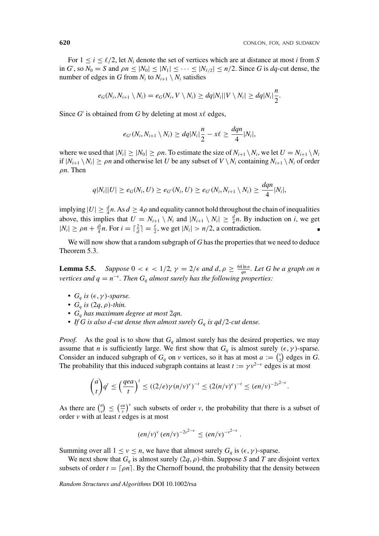For  $1 \le i \le \ell/2$ , let  $N_i$  denote the set of vertices which are at distance at most *i* from *S* in *G*<sup> $\prime$ </sup>, so  $N_0 = S$  and  $\rho n \leq |N_0| \leq |N_1| \leq \cdots \leq |N_{\ell/2}| \leq n/2$ . Since *G* is *dq*-cut dense, the number of edges in *G* from  $N_i$  to  $N_{i+1} \setminus N_i$  satisfies

$$
e_G(N_i,N_{i+1}\setminus N_i)=e_G(N_i,V\setminus N_i)\geq dq|N_i||V\setminus N_i|\geq dq|N_i|\frac{n}{2}.
$$

Since  $G'$  is obtained from  $G$  by deleting at most  $x\ell$  edges,

$$
e_{G'}(N_i,N_{i+1}\setminus N_i)\geq dq|N_i|\frac{n}{2}-x\ell\geq \frac{dqn}{4}|N_i|,
$$

where we used that  $|N_i| \ge |N_0| \ge \rho n$ . To estimate the size of  $N_{i+1} \setminus N_i$ , we let  $U = N_{i+1} \setminus N_i$ if  $|N_{i+1} \setminus N_i| \ge \rho n$  and otherwise let *U* be any subset of  $V \setminus N_i$  containing  $N_{i+1} \setminus N_i$  of order *ρn*. Then

$$
q|N_i||U| \ge e_G(N_i, U) \ge e_{G'}(N_i, U) \ge e_{G'}(N_i, N_{i+1} \setminus N_i) \ge \frac{dqn}{4}|N_i|,
$$

implying  $|U| \geq \frac{d}{4}n$ . As  $d \geq 4\rho$  and equality cannot hold throughout the chain of inequalities above, this implies that  $U = N_{i+1} \setminus N_i$  and  $|N_{i+1} \setminus N_i| \geq \frac{d}{4}n$ . By induction on *i*, we get  $|N_i| \ge \rho n + \frac{di}{4}n$ . For  $i = \lceil \frac{2}{d} \rceil = \frac{\ell}{2}$ , we get  $|N_i| > n/2$ , a contradiction.

We will now show that a random subgraph of *G* has the properties that we need to deduce Theorem 5.3.

**Lemma 5.5.** *Suppose*  $0 < \epsilon < 1/2$ ,  $\gamma = 2/\epsilon$  and  $d, \rho \geq \frac{64 \ln n}{qn}$ . Let G be a graph on n *vertices and*  $q = n^{-\epsilon}$ *. Then*  $G_q$  *almost surely has the following properties:* 

- $G_q$  *is*  $(\epsilon, \gamma)$ *-sparse.*
- $G_q$  *is* (2*q*,  $\rho$ )-*thin.*
- *Gq has maximum degree at most* 2*qn.*
- *If G is also d-cut dense then almost surely Gq is qd/*2*-cut dense.*

*Proof.* As the goal is to show that  $G_q$  almost surely has the desired properties, we may assume that *n* is sufficiently large. We first show that  $G_q$  is almost surely  $(\epsilon, \gamma)$ -sparse. Consider an induced subgraph of  $G_q$  on *v* vertices, so it has at most  $a := \binom{v}{2}$  edges in G. The probability that this induced subgraph contains at least  $t := \gamma v^{2-\epsilon}$  edges is at most

$$
\binom{a}{t}q^t \le \left(\frac{qea}{t}\right)^t \le \left((2/e)\gamma(n/v)^{\epsilon}\right)^{-t} \le \left(2(n/v)^{\epsilon}\right)^{-t} \le (en/v)^{-2v^{2-\epsilon}}.
$$

As there are  $\binom{n}{v} \leq \left(\frac{en}{v}\right)^v$  such subsets of order *v*, the probability that there is a subset of order *v* with at least *t* edges is at most

$$
(en/v)^{\nu}(en/v)^{-2\nu^{2-\epsilon}} \leq (en/v)^{-\nu^{2-\epsilon}}.
$$

Summing over all  $1 \le v \le n$ , we have that almost surely  $G_q$  is  $(\epsilon, \gamma)$ -sparse.

We next show that  $G_q$  is almost surely  $(2q, \rho)$ -thin. Suppose *S* and *T* are disjoint vertex subsets of order  $t = \lceil \rho n \rceil$ . By the Chernoff bound, the probability that the density between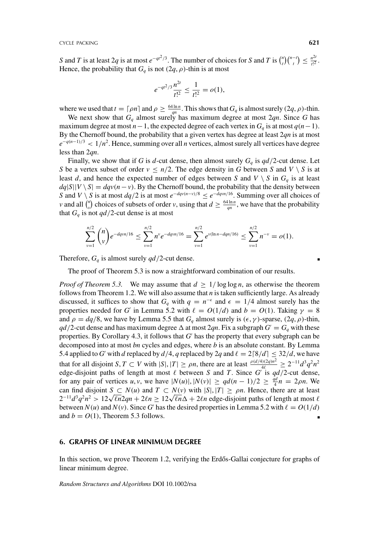*S* and *T* is at least 2*q* is at most  $e^{-qt^2/3}$ . The number of choices for *S* and *T* is  $\binom{n}{t}\binom{n-t}{t} \leq \frac{n^{2t}}{t^2}$ . Hence, the probability that  $G_q$  is not  $(2q, \rho)$ -thin is at most

$$
e^{-qt^2/3}\frac{n^{2t}}{t!^2} \le \frac{1}{t!^2} = o(1),
$$

where we used that  $t = \lceil \rho n \rceil$  and  $\rho \geq \frac{64 \ln n}{qn}$ . This shows that  $G_q$  is almost surely  $(2q, \rho)$ -thin.

We next show that  $G_q$  almost surely has maximum degree at most  $2qn$ . Since G has maximum degree at most  $n-1$ , the expected degree of each vertex in  $G_q$  is at most  $q(n-1)$ . By the Chernoff bound, the probability that a given vertex has degree at least 2*qn* is at most *e*<sup>−</sup>*q(n*−1*)/*<sup>3</sup> *<* 1*/n*2. Hence, summing over all *n* vertices, almost surely all vertices have degree less than 2*qn*.

Finally, we show that if *G* is *d*-cut dense, then almost surely  $G_q$  is  $qd/2$ -cut dense. Let *S* be a vertex subset of order  $v \leq n/2$ . The edge density in *G* between *S* and *V* \ *S* is at least *d*, and hence the expected number of edges between *S* and *V*  $\setminus$  *S* in *G<sub>q</sub>* is at least  $dq|S||V \setminus S| = dqv(n - v)$ . By the Chernoff bound, the probability that the density between *S* and *V* \ *S* is at most *dq*/2 is at most  $e^{-dqv(n-v)/8}$  ≤  $e^{-dqvn/16}$ . Summing over all choices of *v* and all  $\binom{n}{v}$  choices of subsets of order *v*, using that  $d \geq \frac{64 \ln n}{qn}$ , we have that the probability that  $G_q$  is not  $qd/2$ -cut dense is at most

$$
\sum_{\nu=1}^{n/2} \binom{n}{\nu} e^{-dq\nu n/16} \leq \sum_{\nu=1}^{n/2} n^{\nu} e^{-dq\nu n/16} = \sum_{\nu=1}^{n/2} e^{\nu(\ln n - dqn/16)} \leq \sum_{\nu=1}^{n/2} n^{-\nu} = o(1).
$$

Therefore,  $G_q$  is almost surely  $qd/2$ -cut dense.

The proof of Theorem 5.3 is now a straightforward combination of our results.

*Proof of Theorem 5.3.* We may assume that  $d \geq 1/\log \log n$ , as otherwise the theorem follows from Theorem 1.2. We will also assume that *n* is taken sufficiently large. As already discussed, it suffices to show that  $G_q$  with  $q = n^{-\epsilon}$  and  $\epsilon = 1/4$  almost surely has the properties needed for *G*<sup>'</sup> in Lemma 5.2 with  $\ell = O(1/d)$  and  $b = O(1)$ . Taking  $\gamma = 8$ and  $\rho = dq/8$ , we have by Lemma 5.5 that  $G_q$  almost surely is  $(\epsilon, \gamma)$ -sparse,  $(2q, \rho)$ -thin, *qd*/2-cut dense and has maximum degree  $\Delta$  at most 2*qn*. Fix a subgraph  $G' = G_q$  with these properties. By Corollary 4.3, it follows that *G*<sup>'</sup> has the property that every subgraph can be decomposed into at most *bn* cycles and edges, where *b* is an absolute constant. By Lemma 5.4 applied to *G*' with *d* replaced by  $d/4$ , *q* replaced by 2*q* and  $l = 2\lceil 8/d \rceil \leq 32/d$ , we have that for all disjoint  $S, T \subset V$  with  $|S|, |T| \ge \rho n$ , there are at least  $\frac{\rho(d/4)(2q)n^2}{4\ell} \ge 2^{-11}d^3q^2n^2$ edge-disjoint paths of length at most  $\ell$  between *S* and *T*. Since *G*<sup> $\ell$ </sup> is  $qd/2$ -cut dense, for any pair of vertices *u*, *v*, we have  $|N(u)|, |N(v)| \ge qd(n-1)/2 \ge \frac{qd}{4}n = 2\rho n$ . We can find disjoint  $S \subset N(u)$  and  $T \subset N(v)$  with  $|S|, |T| \ge \rho n$ . Hence, there are at least can find disjoint  $S \subseteq N(u)$  and  $I \subseteq N(v)$  with  $|S|, |I| \ge \rho n$ . Hence, there are at least  $2^{-11}d^3q^2n^2 > 12\sqrt{\ln 2}qn + 2\ln \ge 12\sqrt{\ln \Delta} + 2\ln$  edge-disjoint paths of length at most  $\ell$ between  $N(u)$  and  $N(v)$ . Since G' has the desired properties in Lemma 5.2 with  $\ell = O(1/d)$ and  $b = O(1)$ , Theorem 5.3 follows.

## **6. GRAPHS OF LINEAR MINIMUM DEGREE**

In this section, we prove Theorem 1.2, verifying the Erdős-Gallai conjecture for graphs of linear minimum degree.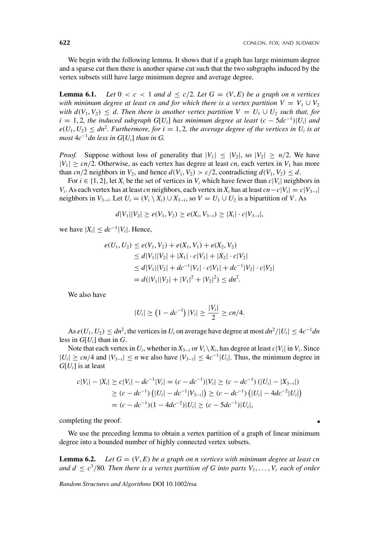We begin with the following lemma. It shows that if a graph has large minimum degree and a sparse cut then there is another sparse cut such that the two subgraphs induced by the vertex subsets still have large minimum degree and average degree.

**Lemma 6.1.** Let  $0 < c < 1$  and  $d \le c/2$ . Let  $G = (V, E)$  be a graph on n vertices *with minimum degree at least cn and for which there is a vertex partition*  $V = V_1 \cup V_2$ *with*  $d(V_1, V_2) \leq d$ *. Then there is another vertex partition*  $V = U_1 \cup U_2$  *such that, for*  $i = 1, 2$ , the induced subgraph G[*U<sub>i</sub>*] has minimum degree at least  $(c - 5dc^{-1})|U_i|$  and  $e(U_1, U_2) \leq d\eta^2$ . Furthermore, for  $i = 1, 2$ , the average degree of the vertices in  $U_i$  is at *most*  $4c^{-1}$ *dn less in G*[*U<sub>i</sub>*] *than in G.* 

*Proof.* Suppose without loss of generality that  $|V_1| \leq |V_2|$ , so  $|V_2| \geq n/2$ . We have  $|V_1| \geq cn/2$ . Otherwise, as each vertex has degree at least *cn*, each vertex in  $V_1$  has more than *cn*/2 neighbors in  $V_2$ , and hence  $d(V_1, V_2) > c/2$ , contradicting  $d(V_1, V_2) \leq d$ .

For  $i \in \{1, 2\}$ , let  $X_i$  be the set of vertices in  $V_i$  which have fewer than  $c|V_i|$  neighbors in *V<sub>i</sub>*. As each vertex has at least *cn* neighbors, each vertex in  $X_i$  has at least  $cn - c|V_i| = c|V_{3-i}|$ neighbors in  $V_{3-i}$ . Let  $U_i = (V_i \setminus X_i) \cup X_{3-i}$ , so  $V = U_1 \cup U_2$  is a bipartition of *V*. As

$$
d|V_1||V_2| \ge e(V_1, V_2) \ge e(X_i, V_{3-i}) \ge |X_i| \cdot c|V_{3-i}|,
$$

we have  $|X_i| \leq dc^{-1}|V_i|$ . Hence,

$$
e(U_1, U_2) \le e(V_1, V_2) + e(X_1, V_1) + e(X_2, V_2)
$$
  
\n
$$
\le d|V_1||V_2| + |X_1| \cdot c|V_1| + |X_2| \cdot c|V_2|
$$
  
\n
$$
\le d|V_1||V_2| + dc^{-1}|V_1| \cdot c|V_1| + dc^{-1}|V_2| \cdot c|V_2|
$$
  
\n
$$
= d(|V_1||V_2| + |V_1|^2 + |V_2|^2) \le dr^2.
$$

We also have

$$
|U_i| \geq (1 - dc^{-1}) |V_i| \geq \frac{|V_i|}{2} \geq cn/4.
$$

As  $e(U_1, U_2) \leq dn^2$ , the vertices in  $U_i$  on average have degree at most  $dn^2/|U_i| \leq 4c^{-1}dn$ less in  $G[U_i]$  than in  $G$ .

Note that each vertex in  $U_i$ , whether in  $X_{3-i}$  or  $V_i \setminus X_i$ , has degree at least  $c|V_i|$  in  $V_i$ . Since  $|U_i|$  ≥ *cn*/4 and  $|V_{3-i}|$  ≤ *n* we also have  $|V_{3-i}|$  ≤ 4*c*<sup>-1</sup> $|U_i|$ . Thus, the minimum degree in *G*[*Ui*] is at least

$$
c|V_i| - |X_i| \ge c|V_i| - dc^{-1}|V_i| = (c - dc^{-1})|V_i| \ge (c - dc^{-1}) (|U_i| - |X_{3-i}|)
$$
  
\n
$$
\ge (c - dc^{-1}) (|U_i| - dc^{-1}|V_{3-i}|) \ge (c - dc^{-1}) (|U_i| - 4dc^{-2}|U_i|)
$$
  
\n
$$
= (c - dc^{-1})(1 - 4dc^{-2})|U_i| \ge (c - 5dc^{-1})|U_i|,
$$

completing the proof.

We use the preceding lemma to obtain a vertex partition of a graph of linear minimum degree into a bounded number of highly connected vertex subsets.

**Lemma 6.2.** Let  $G = (V, E)$  be a graph on n vertices with minimum degree at least cn *and*  $d \leq c^3/80$ *. Then there is a vertex partition of G into parts*  $V_1, \ldots, V_r$  *each of order*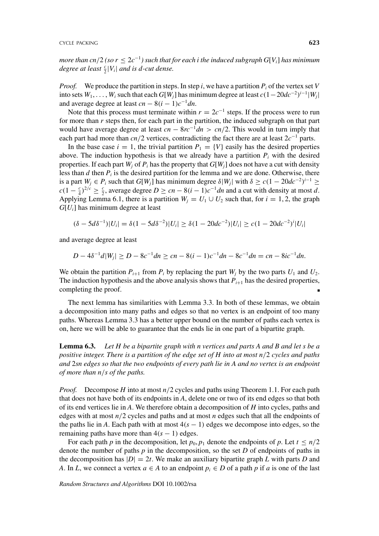*more than cn*/2 *(so r*  $\leq 2c^{-1}$ ) *such that for each i the induced subgraph G*[*V<sub>i</sub>*] *has minimum degree at least*  $\frac{c}{2}|V_i|$  *and is d-cut dense.* 

*Proof.* We produce the partition in steps. In step *i*, we have a partition  $P_i$  of the vertex set *V* into sets  $W_1, \ldots, W_i$  such that each  $G[W_i]$  has minimum degree at least  $c(1-20dc^{-2})^{i-1}|W_i|$ and average degree at least  $cn - 8(i - 1)c^{-1}dn$ .

Note that this process must terminate within  $r = 2c^{-1}$  steps. If the process were to run for more than *r* steps then, for each part in the partition, the induced subgraph on that part would have average degree at least  $cn - 8rc^{-1}dn > cn/2$ . This would in turn imply that each part had more than *cn*/2 vertices, contradicting the fact there are at least  $2c^{-1}$  parts.

In the base case  $i = 1$ , the trivial partition  $P_1 = \{V\}$  easily has the desired properties above. The induction hypothesis is that we already have a partition  $P_i$  with the desired properties. If each part  $W_j$  of  $P_i$  has the property that  $G[W_j]$  does not have a cut with density less than *d* then *Pi* is the desired partition for the lemma and we are done. Otherwise, there is a part  $W_j \in P_i$  such that  $G[W_j]$  has minimum degree  $\delta[W_j]$  with  $\delta \ge c(1 - 20dc^{-2})^{i-1} \ge$ *c*(1 −  $\frac{c}{4}$ )<sup>2/*c*</sup> ≥  $\frac{c}{2}$ , average degree *D* ≥ *cn* − 8(*i* − 1)*c*<sup>-1</sup>*dn* and a cut with density at most *d*. Applying Lemma 6.1, there is a partition  $W_j = U_1 \cup U_2$  such that, for  $i = 1, 2$ , the graph *G*[*Ui*] has minimum degree at least

$$
(\delta - 5d\delta^{-1})|U_i| = \delta(1 - 5d\delta^{-2})|U_i| \ge \delta(1 - 20dc^{-2})|U_i| \ge c(1 - 20dc^{-2})^i|U_i|
$$

and average degree at least

$$
D - 4\delta^{-1}d|W_j| \ge D - 8c^{-1}dn \ge cn - 8(i - 1)c^{-1}dn - 8c^{-1}dn = cn - 8ic^{-1}dn.
$$

We obtain the partition  $P_{i+1}$  from  $P_i$  by replacing the part  $W_i$  by the two parts  $U_1$  and  $U_2$ . The induction hypothesis and the above analysis shows that  $P_{i+1}$  has the desired properties, completing the proof.

The next lemma has similarities with Lemma 3.3. In both of these lemmas, we obtain a decomposition into many paths and edges so that no vertex is an endpoint of too many paths. Whereas Lemma 3.3 has a better upper bound on the number of paths each vertex is on, here we will be able to guarantee that the ends lie in one part of a bipartite graph.

**Lemma 6.3.** *Let H be a bipartite graph with n vertices and parts A and B and let s be a positive integer. There is a partition of the edge set of H into at most n/*2 *cycles and paths and* 2*sn edges so that the two endpoints of every path lie in A and no vertex is an endpoint of more than n/s of the paths.*

*Proof.* Decompose *H* into at most *n/*2 cycles and paths using Theorem 1.1. For each path that does not have both of its endpoints in *A*, delete one or two of its end edges so that both of its end vertices lie in *A*. We therefore obtain a decomposition of *H* into cycles, paths and edges with at most *n/*2 cycles and paths and at most *n* edges such that all the endpoints of the paths lie in *A*. Each path with at most  $4(s - 1)$  edges we decompose into edges, so the remaining paths have more than  $4(s - 1)$  edges.

For each path *p* in the decomposition, let  $p_0, p_1$  denote the endpoints of *p*. Let  $t \leq n/2$ denote the number of paths *p* in the decomposition, so the set *D* of endpoints of paths in the decomposition has  $|D| = 2t$ . We make an auxiliary bipartite graph *L* with parts *D* and *A*. In *L*, we connect a vertex  $a \in A$  to an endpoint  $p_i \in D$  of a path *p* if *a* is one of the last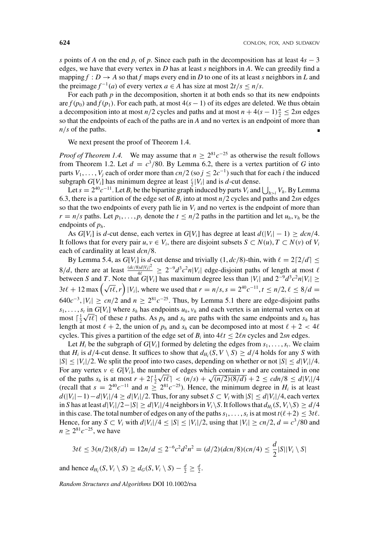*s* points of *A* on the end *pi* of *p*. Since each path in the decomposition has at least 4*s* − 3 edges, we have that every vertex in *D* has at least *s* neighbors in *A*. We can greedily find a mapping  $f : D \to A$  so that *f* maps every end in *D* to one of its at least *s* neighbors in *L* and the preimage  $f^{-1}(a)$  of every vertex  $a \in A$  has size at most  $2t/s \leq n/s$ .

For each path  $p$  in the decomposition, shorten it at both ends so that its new endpoints are  $f(p_0)$  and  $f(p_1)$ . For each path, at most  $4(s - 1)$  of its edges are deleted. We thus obtain a decomposition into at most *n*/2 cycles and paths and at most  $n + 4(s - 1)\frac{n}{2} \le 2sn$  edges so that the endpoints of each of the paths are in *A* and no vertex is an endpoint of more than *n/s* of the paths.

We next present the proof of Theorem 1.4.

*Proof of Theorem 1.4.* We may assume that  $n \geq 2^{81}c^{-25}$  as otherwise the result follows from Theorem 1.2. Let  $d = c^3/80$ . By Lemma 6.2, there is a vertex partition of *G* into parts *V*<sub>1</sub>, ..., *V<sub>i</sub>* each of order more than *cn*/2 (so  $j \leq 2c^{-1}$ ) such that for each *i* the induced subgraph  $G[V_i]$  has minimum degree at least  $\frac{c}{2} |V_i|$  and is *d*-cut dense.

Let  $s = 2^{40}c^{-11}$ . Let  $B_i$  be the bipartite graph induced by parts  $V_i$  and  $\bigcup_{h>i} V_h$ . By Lemma 6.3, there is a partition of the edge set of  $B_i$  into at most  $n/2$  cycles and paths and  $2sn$  edges so that the two endpoints of every path lie in  $V_i$  and no vertex is the endpoint of more than  $r = n/s$  paths. Let  $p_1, \ldots, p_t$  denote the  $t \leq n/2$  paths in the partition and let  $u_h, v_h$  be the endpoints of *ph*.

As *G*[*V<sub>i</sub>*] is *d*-cut dense, each vertex in *G*[*V<sub>i</sub>*] has degree at least  $d(|V_i| - 1) \geq dcn/4$ . It follows that for every pair  $u, v \in V_i$ , there are disjoint subsets  $S \subset N(u), T \subset N(v)$  of  $V_i$ each of cardinality at least *dcn/*8.

By Lemma 5.4, as  $G[V_i]$  is *d*-cut dense and trivially  $(1, dc/8)$ -thin, with  $\ell = 2\lceil 2/d \rceil \leq$  $8/d$ , there are at least  $\frac{(dc/8)d|V_i|^2}{4\ell}$  $\frac{d\delta d|V_i|^2}{dt} \geq 2^{-9}d^3c^2n|V_i|$  edge-disjoint paths of length at most  $\ell$ between *S* and *T*. Note that  $G[V_i]$  has maximum degree less than  $|V_i|$  and  $2^{-9}d^3c^2n|V_i| \ge$  $3t\ell + 12 \max \left( \sqrt{t\ell}, r \right) |V_i|$ , where we used that  $r = n/s$ ,  $s = 2^{40}c^{-11}$ ,  $t \le n/2$ ,  $\ell \le 8/d = 1$ 640 $c^{-3}$ ,  $|V_i|$  ≥  $cn/2$  and  $n \ge 2^{81}c^{-25}$ . Thus, by Lemma 5.1 there are edge-disjoint paths  $s_1, \ldots, s_t$  in  $G[V_i]$  where  $s_h$  has endpoints  $u_h, v_h$  and each vertex is an internal vertex on at  $s_1, \ldots, s_t$  in  $G[V_i]$  where  $s_h$  has endpoints  $u_h, v_h$  and each vertex is an internal vertex on at most  $\lceil \frac{1}{2} \sqrt{t \ell} \rceil$  of these *t* paths. As  $p_h$  and  $s_h$  are paths with the same endpoints and  $s_h$  has length at most  $\ell + 2$ , the union of  $p_h$  and  $s_h$  can be decomposed into at most  $\ell + 2 < 4\ell$ cycles. This gives a partition of the edge set of  $B_i$  into  $4\ell t \leq 2\ell n$  cycles and  $2sn$  edges.

Let  $H_i$  be the subgraph of  $G[V_i]$  formed by deleting the edges from  $s_1, \ldots, s_t$ . We claim that *H<sub>i</sub>* is *d*/4-cut dense. It suffices to show that  $d_{H_i}(S, V \setminus S) \ge d/4$  holds for any *S* with  $|S| \leq |V_i|/2$ . We split the proof into two cases, depending on whether or not  $|S| \leq d|V_i|/4$ . For any vertex  $v \in G[V_i]$ , the number of edges which contain *v* and are contained in one For any vertex  $v \in G[V_i]$ , the number of edges which contain v and are contained in one<br>of the paths  $s_h$  is at most  $r + 2\lceil \frac{1}{2}\sqrt{t\ell} \rceil < (n/s) + \sqrt{(n/2)(8/d)} + 2 \leq cdn/8 \leq d|V_i|/4$ (recall that  $s = 2^{40}c^{-11}$  and  $n \ge 2^{81}c^{-25}$ ). Hence, the minimum degree in *H<sub>i</sub>* is at least *d*( $|V_i|$ −1)−*d* $|V_i|/4 \ge d|V_i|/2$ . Thus, for any subset *S* ⊂  $V_i$  with  $|S| \le d|V_i|/4$ , each vertex  $\lim_{t \to \infty} S$  has at least  $d|V_i|/2-|S| \ge d|V_i|/4$  neighbors in  $V_i \setminus S$ . It follows that  $d_{H_i}(S, V_i \setminus S) \ge d/4$ in this case. The total number of edges on any of the paths  $s_1, \ldots, s_t$  is at most  $t(\ell+2) \leq 3t\ell$ . Hence, for any  $S \subset V_i$  with  $d|V_i|/4 \leq |S| \leq |V_i|/2$ , using that  $|V_i| \geq cn/2$ ,  $d = c^3/80$  and  $n \geq 2^{81}c^{-25}$ , we have

$$
3t\ell \le 3(n/2)(8/d) = 12n/d \le 2^{-6}c^2d^2n^2 = (d/2)(dcn/8)(cn/4) \le \frac{d}{2}|S||V_i \setminus S|
$$

and hence  $d_{H_i}(S, V_i \setminus S) \ge d_G(S, V_i \setminus S) - \frac{d}{2} \ge \frac{d}{2}$ .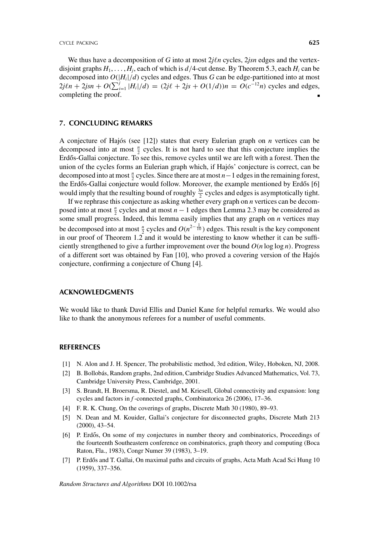CYCLE PACKING **625**

We thus have a decomposition of *G* into at most  $2j\ell n$  cycles,  $2jsn$  edges and the vertexdisjoint graphs  $H_1, \ldots, H_i$ , each of which is  $d/4$ -cut dense. By Theorem 5.3, each  $H_i$  can be decomposed into  $O(|H_i|/d)$  cycles and edges. Thus  $G$  can be edge-partitioned into at most  $2j\ell n + 2jsn + O(\sum_{i=1}^{j} |H_i|/d) = (2j\ell + 2js + O(1/d))n = O(c^{-12}n)$  cycles and edges, completing the proof.

## **7. CONCLUDING REMARKS**

A conjecture of Hajós (see [12]) states that every Eulerian graph on *n* vertices can be decomposed into at most  $\frac{n}{2}$  cycles. It is not hard to see that this conjecture implies the Erdős-Gallai conjecture. To see this, remove cycles until we are left with a forest. Then the union of the cycles forms an Eulerian graph which, if Hajós' conjecture is correct, can be decomposed into at most *<sup>n</sup>* <sup>2</sup> cycles. Since there are at most *n*−1 edges in the remaining forest, the Erdős-Gallai conjecture would follow. Moreover, the example mentioned by Erdős [6] would imply that the resulting bound of roughly  $\frac{3n}{2}$  cycles and edges is asymptotically tight.

If we rephrase this conjecture as asking whether every graph on *n* vertices can be decomposed into at most  $\frac{n}{2}$  cycles and at most  $n-1$  edges then Lemma 2.3 may be considered as some small progress. Indeed, this lemma easily implies that any graph on *n* vertices may be decomposed into at most  $\frac{n}{2}$  cycles and  $O(n^{2-\frac{1}{10}})$  edges. This result is the key component in our proof of Theorem 1.2 and it would be interesting to know whether it can be sufficiently strengthened to give a further improvement over the bound  $O(n \log \log n)$ . Progress of a different sort was obtained by Fan [10], who proved a covering version of the Hajós conjecture, confirming a conjecture of Chung [4].

#### **ACKNOWLEDGMENTS**

We would like to thank David Ellis and Daniel Kane for helpful remarks. We would also like to thank the anonymous referees for a number of useful comments.

## **REFERENCES**

- [1] N. Alon and J. H. Spencer, The probabilistic method, 3rd edition, Wiley, Hoboken, NJ, 2008.
- [2] B. Bollobás, Random graphs, 2nd edition, Cambridge Studies Advanced Mathematics, Vol. 73, Cambridge University Press, Cambridge, 2001.
- [3] S. Brandt, H. Broersma, R. Diestel, and M. Kriesell, Global connectivity and expansion: long cycles and factors in *f* -connected graphs, Combinatorica 26 (2006), 17–36.
- [4] F. R. K. Chung, On the coverings of graphs, Discrete Math 30 (1980), 89–93.
- [5] N. Dean and M. Kouider, Gallai's conjecture for disconnected graphs, Discrete Math 213 (2000), 43–54.
- [6] P. Erdős, On some of my conjectures in number theory and combinatorics, Proceedings of the fourteenth Southeastern conference on combinatorics, graph theory and computing (Boca Raton, Fla., 1983), Congr Numer 39 (1983), 3–19.
- [7] P. Erdős and T. Gallai, On maximal paths and circuits of graphs, Acta Math Acad Sci Hung 10 (1959), 337–356.